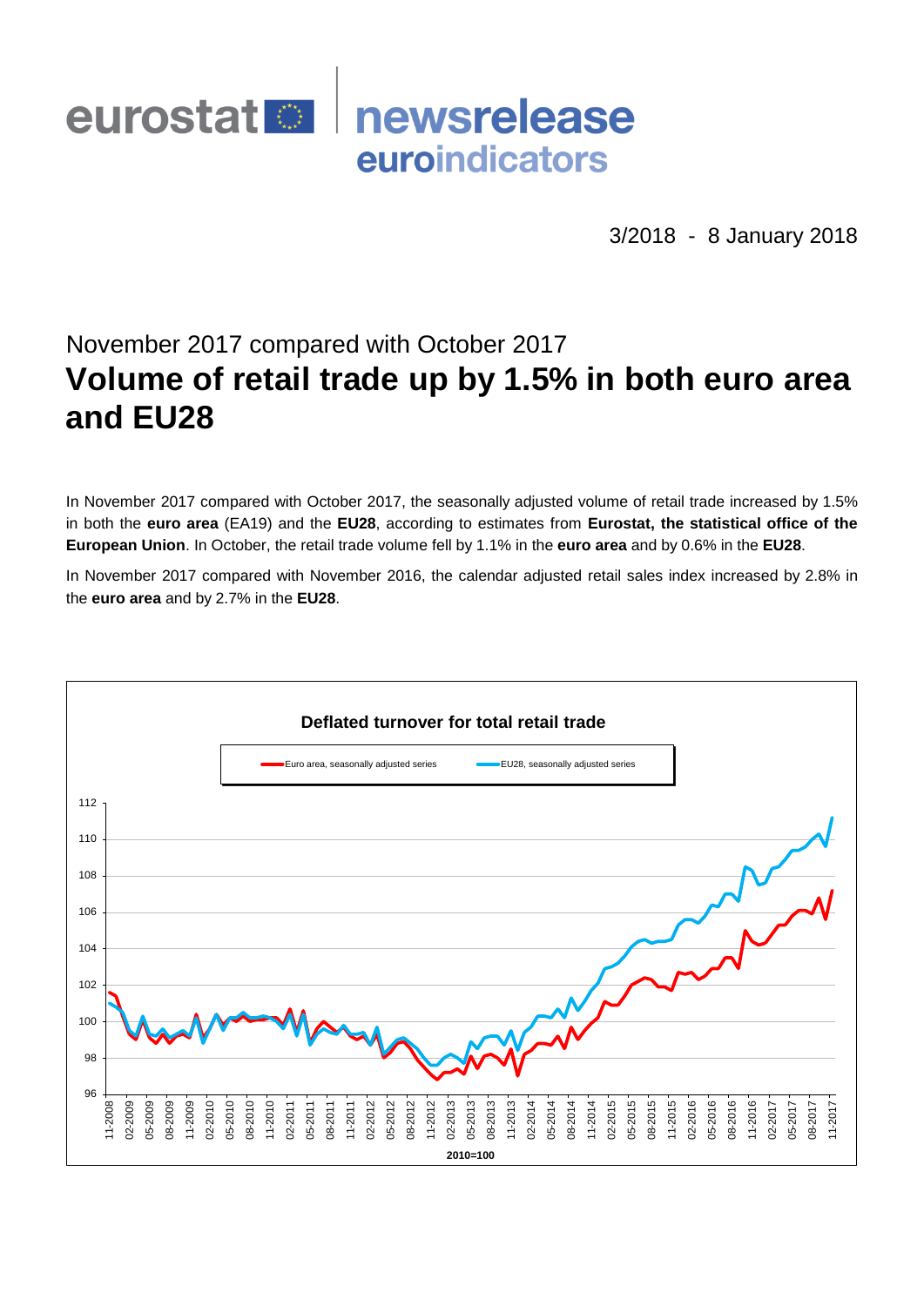## eurostat<sup>o</sup> newsrelease euroindicators

3/2018 - 8 January 2018

# November 2017 compared with October 2017 **Volume of retail trade up by 1.5% in both euro area and EU28**

In November 2017 compared with October 2017, the seasonally adjusted volume of retail trade increased by 1.5% in both the **euro area** (EA19) and the **EU28**, according to estimates from **Eurostat, the statistical office of the European Union**. In October, the retail trade volume fell by 1.1% in the **euro area** and by 0.6% in the **EU28**.

In November 2017 compared with November 2016, the calendar adjusted retail sales index increased by 2.8% in the **euro area** and by 2.7% in the **EU28**.

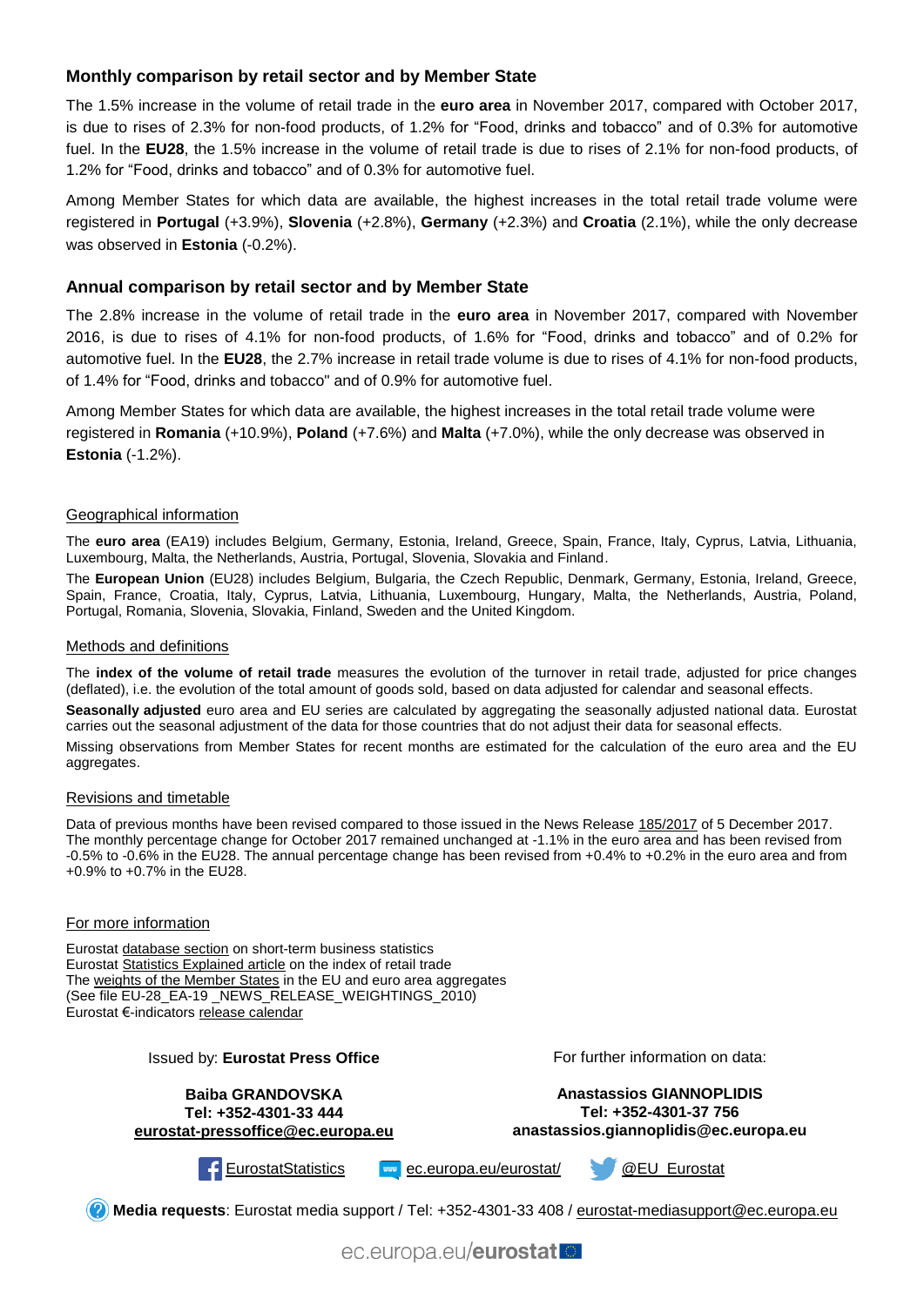### **Monthly comparison by retail sector and by Member State**

The 1.5% increase in the volume of retail trade in the **euro area** in November 2017, compared with October 2017, is due to rises of 2.3% for non-food products, of 1.2% for "Food, drinks and tobacco" and of 0.3% for automotive fuel. In the **EU28**, the 1.5% increase in the volume of retail trade is due to rises of 2.1% for non-food products, of 1.2% for "Food, drinks and tobacco" and of 0.3% for automotive fuel.

Among Member States for which data are available, the highest increases in the total retail trade volume were registered in **Portugal** (+3.9%), **Slovenia** (+2.8%), **Germany** (+2.3%) and **Croatia** (2.1%), while the only decrease was observed in **Estonia** (-0.2%).

#### **Annual comparison by retail sector and by Member State**

The 2.8% increase in the volume of retail trade in the **euro area** in November 2017, compared with November 2016, is due to rises of 4.1% for non-food products, of 1.6% for "Food, drinks and tobacco" and of 0.2% for automotive fuel. In the **EU28**, the 2.7% increase in retail trade volume is due to rises of 4.1% for non-food products, of 1.4% for "Food, drinks and tobacco" and of 0.9% for automotive fuel.

Among Member States for which data are available, the highest increases in the total retail trade volume were registered in **Romania** (+10.9%), **Poland** (+7.6%) and **Malta** (+7.0%), while the only decrease was observed in **Estonia** (-1.2%).

#### Geographical information

The **euro area** (EA19) includes Belgium, Germany, Estonia, Ireland, Greece, Spain, France, Italy, Cyprus, Latvia, Lithuania, Luxembourg, Malta, the Netherlands, Austria, Portugal, Slovenia, Slovakia and Finland.

The **European Union** (EU28) includes Belgium, Bulgaria, the Czech Republic, Denmark, Germany, Estonia, Ireland, Greece, Spain, France, Croatia, Italy, Cyprus, Latvia, Lithuania, Luxembourg, Hungary, Malta, the Netherlands, Austria, Poland, Portugal, Romania, Slovenia, Slovakia, Finland, Sweden and the United Kingdom.

#### Methods and definitions

The **index of the volume of retail trade** measures the evolution of the turnover in retail trade, adjusted for price changes (deflated), i.e. the evolution of the total amount of goods sold, based on data adjusted for calendar and seasonal effects.

**Seasonally adjusted** euro area and EU series are calculated by aggregating the seasonally adjusted national data. Eurostat carries out the seasonal adjustment of the data for those countries that do not adjust their data for seasonal effects.

Missing observations from Member States for recent months are estimated for the calculation of the euro area and the EU aggregates.

#### Revisions and timetable

Data of previous months have been revised compared to those issued in the News Release [185/2017](http://ec.europa.eu/eurostat/documents/2995521/8501081/4-05122017-AP-EN.pdf/0f94fcab-19a1-479b-a16c-721b850e02e1) of 5 December 2017. The monthly percentage change for October 2017 remained unchanged at -1.1% in the euro area and has been revised from -0.5% to -0.6% in the EU28. The annual percentage change has been revised from +0.4% to +0.2% in the euro area and from +0.9% to +0.7% in the EU28.

#### For more information

Eurostat [database section](http://ec.europa.eu/eurostat/web/short-term-business-statistics/data/database) on short-term business statistics Eurostat [Statistics Explained article](http://ec.europa.eu/eurostat/statistics-explained/index.php/Retail_trade_volume_index_overview) on the index of retail trade Th[e weights of the Member States](https://circabc.europa.eu/w/browse/5e6d1e48-056c-4c6a-8278-3ab138bcf575) in the EU and euro area aggregates (See file EU-28 EA-19 NEWS RELEASE WEIGHTINGS 2010) Eurostat €-indicators [release calendar](http://ec.europa.eu/eurostat/news/release-calendar)

> **Baiba GRANDOVSKA Tel: +352-4301-33 444 [eurostat-pressoffice@ec.europa.eu](mailto:eurostat-pressoffice@ec.europa.eu)**

Issued by: **Eurostat Press Office**

For further information on data:

**Anastassios GIANNOPLIDIS Tel: +352-4301-37 756 anastassios.giannoplidis@ec.europa.eu**



[EurostatStatistics](http://www.facebook.com/EurostatStatistics) [ec.europa.eu/eurostat/](http://ec.europa.eu/eurostat/) [@EU\\_Eurostat](http://twitter.com/EU_Eurostat)

**Media requests**: Eurostat media support / Tel: +352-4301-33 408 / [eurostat-mediasupport@ec.europa.eu](mailto:eurostat-mediasupport@ec.europa.eu)

ec.europa.eu/eurostat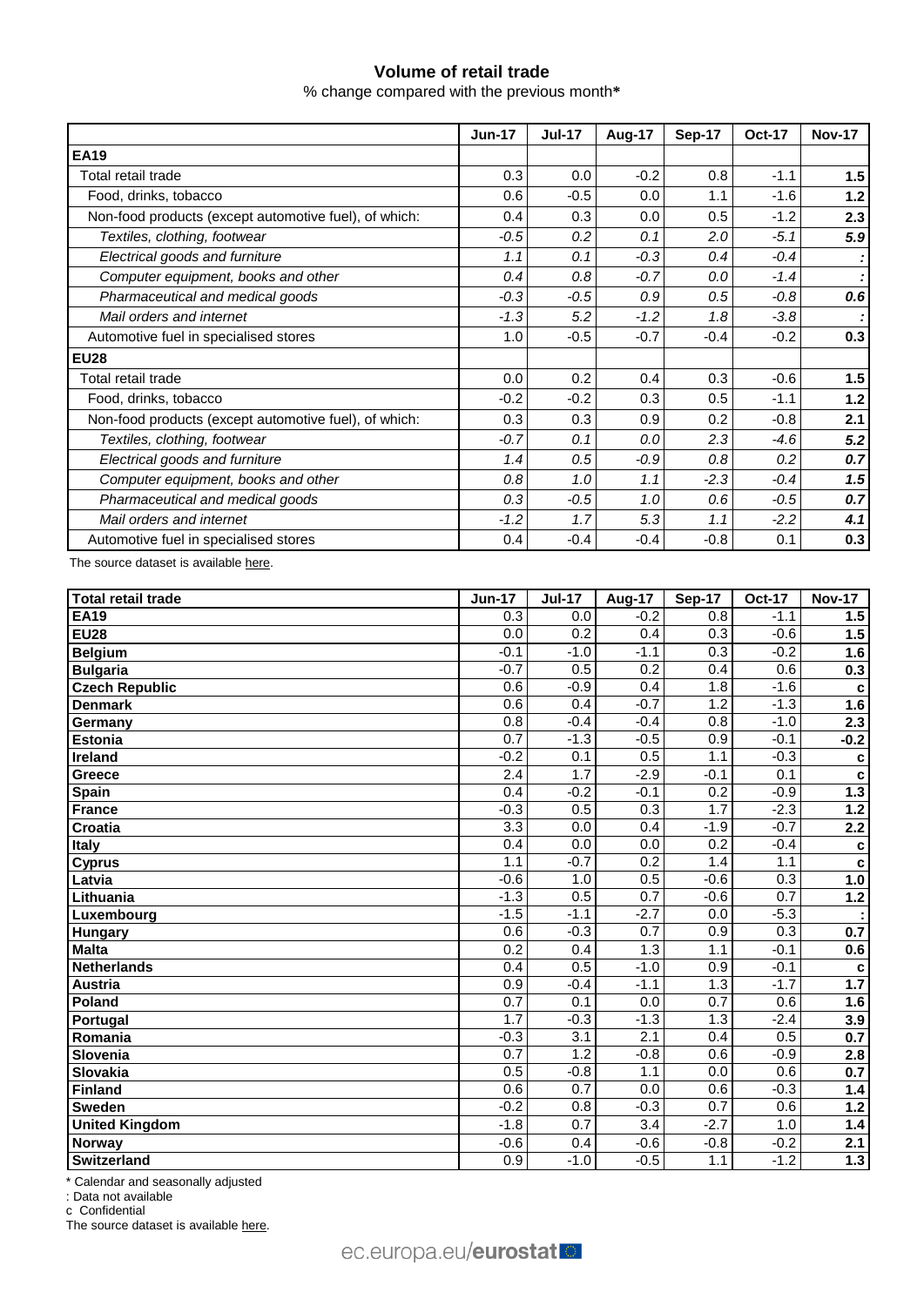## **Volume of retail trade**

% change compared with the previous month**\***

|                                                       | <b>Jun-17</b> | <b>Jul-17</b> | Aug-17 | <b>Sep-17</b> | <b>Oct-17</b> | <b>Nov-17</b> |  |  |
|-------------------------------------------------------|---------------|---------------|--------|---------------|---------------|---------------|--|--|
| <b>EA19</b>                                           |               |               |        |               |               |               |  |  |
| Total retail trade                                    | 0.3           | 0.0           | $-0.2$ | 0.8           | $-1.1$        | 1.5           |  |  |
| Food, drinks, tobacco                                 | 0.6           | $-0.5$        | 0.0    | 1.1           | $-1.6$        | 1.2           |  |  |
| Non-food products (except automotive fuel), of which: | 0.4           | 0.3           | 0.0    | 0.5           | $-1.2$        | 2.3           |  |  |
| Textiles, clothing, footwear                          | $-0.5$        | 0.2           | 0.1    | 2.0           | $-5.1$        | 5.9           |  |  |
| Electrical goods and furniture                        | 1.1           | 0.1           | $-0.3$ | 0.4           | $-0.4$        |               |  |  |
| Computer equipment, books and other                   | 0.4           | 0.8           | $-0.7$ | 0.0           | $-1.4$        |               |  |  |
| Pharmaceutical and medical goods                      | $-0.3$        | $-0.5$        | 0.9    | 0.5           | $-0.8$        | 0.6           |  |  |
| Mail orders and internet                              | $-1.3$        | 5.2           | $-1.2$ | 1.8           | $-3.8$        |               |  |  |
| Automotive fuel in specialised stores                 | 1.0           | $-0.5$        | $-0.7$ | $-0.4$        | $-0.2$        | 0.3           |  |  |
| <b>EU28</b>                                           |               |               |        |               |               |               |  |  |
| Total retail trade                                    | 0.0           | 0.2           | 0.4    | 0.3           | $-0.6$        | 1.5           |  |  |
| Food, drinks, tobacco                                 | $-0.2$        | $-0.2$        | 0.3    | 0.5           | $-1.1$        | 1.2           |  |  |
| Non-food products (except automotive fuel), of which: | 0.3           | 0.3           | 0.9    | 0.2           | $-0.8$        | 2.1           |  |  |
| Textiles, clothing, footwear                          | $-0.7$        | 0.1           | 0.0    | 2.3           | $-4.6$        | 5.2           |  |  |
| Electrical goods and furniture                        | 1.4           | 0.5           | $-0.9$ | 0.8           | 0.2           | 0.7           |  |  |
| Computer equipment, books and other                   | 0.8           | 1.0           | 1.1    | $-2.3$        | $-0.4$        | 1.5           |  |  |
| Pharmaceutical and medical goods                      | 0.3           | $-0.5$        | 1.0    | 0.6           | $-0.5$        | 0.7           |  |  |
| Mail orders and internet                              | $-1.2$        | 1.7           | 5.3    | 1.1           | $-2.2$        | 4.1           |  |  |
| Automotive fuel in specialised stores                 | 0.4           | $-0.4$        | $-0.4$ | $-0.8$        | 0.1           | 0.3           |  |  |
| The source dataset is available here.                 |               |               |        |               |               |               |  |  |
| <b>Total retail trade</b>                             | <b>Jun-17</b> | <b>Jul-17</b> | Aug-17 | <b>Sep-17</b> | <b>Oct-17</b> | <b>Nov-17</b> |  |  |

| Total retail trade    | <b>Jun-17</b>    | <b>Jul-17</b>    | Aug-17           | Sep-17 | <b>Oct-17</b> | <b>Nov-17</b>    |
|-----------------------|------------------|------------------|------------------|--------|---------------|------------------|
| <b>EA19</b>           | 0.3              | 0.0              | $-0.2$           | 0.8    | $-1.1$        | 1.5              |
| <b>EU28</b>           | 0.0              | 0.2              | 0.4              | 0.3    | $-0.6$        | 1.5              |
| <b>Belgium</b>        | $-0.1$           | $-1.0$           | $-1.1$           | 0.3    | $-0.2$        | 1.6              |
| <b>Bulgaria</b>       | $-0.7$           | 0.5              | 0.2              | 0.4    | 0.6           | 0.3              |
| <b>Czech Republic</b> | $\overline{0.6}$ | $-0.9$           | 0.4              | 1.8    | $-1.6$        | C                |
| <b>Denmark</b>        | 0.6              | 0.4              | $-0.7$           | 1.2    | $-1.3$        | 1.6              |
| Germany               | $\overline{0.8}$ | $-0.4$           | $-0.4$           | 0.8    | $-1.0$        | 2.3              |
| <b>Estonia</b>        | 0.7              | $-1.3$           | $-0.5$           | 0.9    | $-0.1$        | $-0.2$           |
| Ireland               | $-0.2$           | 0.1              | 0.5              | 1.1    | $-0.3$        | $\mathbf c$      |
| Greece                | 2.4              | 1.7              | $-2.9$           | $-0.1$ | 0.1           | C                |
| <b>Spain</b>          | 0.4              | $-0.2$           | $-0.1$           | 0.2    | $-0.9$        | 1.3              |
| France                | $-0.3$           | 0.5              | 0.3              | 1.7    | $-2.3$        | $1.2$            |
| Croatia               | $\overline{3.3}$ | 0.0              | 0.4              | $-1.9$ | $-0.7$        | $\overline{2.2}$ |
| Italy                 | 0.4              | 0.0              | 0.0              | 0.2    | $-0.4$        | $\mathbf c$      |
| <b>Cyprus</b>         | 1.1              | $-0.7$           | $\overline{0.2}$ | 1.4    | 1.1           | $\mathbf c$      |
| Latvia                | $-0.6$           | 1.0              | 0.5              | $-0.6$ | 0.3           | 1.0              |
| Lithuania             | $-1.3$           | 0.5              | 0.7              | $-0.6$ | 0.7           | $1.2$            |
| Luxembourg            | $-1.5$           | $-1.1$           | $-2.7$           | 0.0    | $-5.3$        |                  |
| <b>Hungary</b>        | 0.6              | $-0.3$           | 0.7              | 0.9    | 0.3           | 0.7              |
| <b>Malta</b>          | 0.2              | 0.4              | 1.3              | 1.1    | $-0.1$        | 0.6              |
| <b>Netherlands</b>    | 0.4              | 0.5              | $-1.0$           | 0.9    | $-0.1$        | c                |
| Austria               | 0.9              | $-0.4$           | $-1.1$           | 1.3    | $-1.7$        | 1.7              |
| Poland                | 0.7              | 0.1              | 0.0              | 0.7    | 0.6           | 1.6              |
| Portugal              | 1.7              | $-0.3$           | $-1.3$           | 1.3    | $-2.4$        | 3.9              |
| Romania               | $-0.3$           | 3.1              | 2.1              | 0.4    | 0.5           | 0.7              |
| Slovenia              | 0.7              | $\overline{1.2}$ | $-0.8$           | 0.6    | $-0.9$        | 2.8              |
| Slovakia              | 0.5              | $-0.8$           | 1.1              | 0.0    | 0.6           | 0.7              |
| Finland               | 0.6              | $\overline{0.7}$ | 0.0              | 0.6    | $-0.3$        | 1.4              |
| <b>Sweden</b>         | $-0.2$           | 0.8              | $-0.3$           | 0.7    | 0.6           | 1.2              |
| <b>United Kingdom</b> | $-1.8$           | $\overline{0.7}$ | 3.4              | $-2.7$ | 1.0           | $1.4$            |
| Norway                | $-0.6$           | 0.4              | $-0.6$           | $-0.8$ | $-0.2$        | 2.1              |
| Switzerland           | 0.9              | $-1.0$           | $-0.5$           | 1.1    | $-1.2$        | 1.3              |

\* Calendar and seasonally adjusted

: Data not available

c Confidential

The source dataset is availabl[e here.](http://appsso.eurostat.ec.europa.eu/nui/show.do?query=BOOKMARK_DS-075757_QID_-3DAD769F_UID_-3F171EB0&layout=TIME,C,X,0;GEO,L,Y,0;INDIC_BT,L,Z,0;NACE_R2,L,Z,1;S_ADJ,L,Z,2;UNIT,L,Z,3;INDICATORS,C,Z,4;&zSelection=DS-075757INDIC_BT,TOVV;DS-075757NACE_R2,G47;DS-075757UNIT,PCH_PRE;DS-075757INDICATORS,OBS_FLAG;DS-075757S_ADJ,SCA;&rankName1=UNIT_1_2_-1_2&rankName2=INDIC-BT_1_2_-1_2&rankName3=INDICATORS_1_2_-1_2&rankName4=S-ADJ_1_2_-1_2&rankName5=NACE-R2_1_2_-1_2&rankName6=TIME_1_0_0_0&rankName7=GEO_1_2_0_1&sortC=ASC_-1_FIRST&rStp=&cStp=&rDCh=&cDCh=&rDM=true&cDM=true&footnes=false&empty=false&wai=false&time_mode=ROLLING&time_most_recent=true&lang=EN&cfo=%23%23%23%2C%23%23%23.%23%23%23)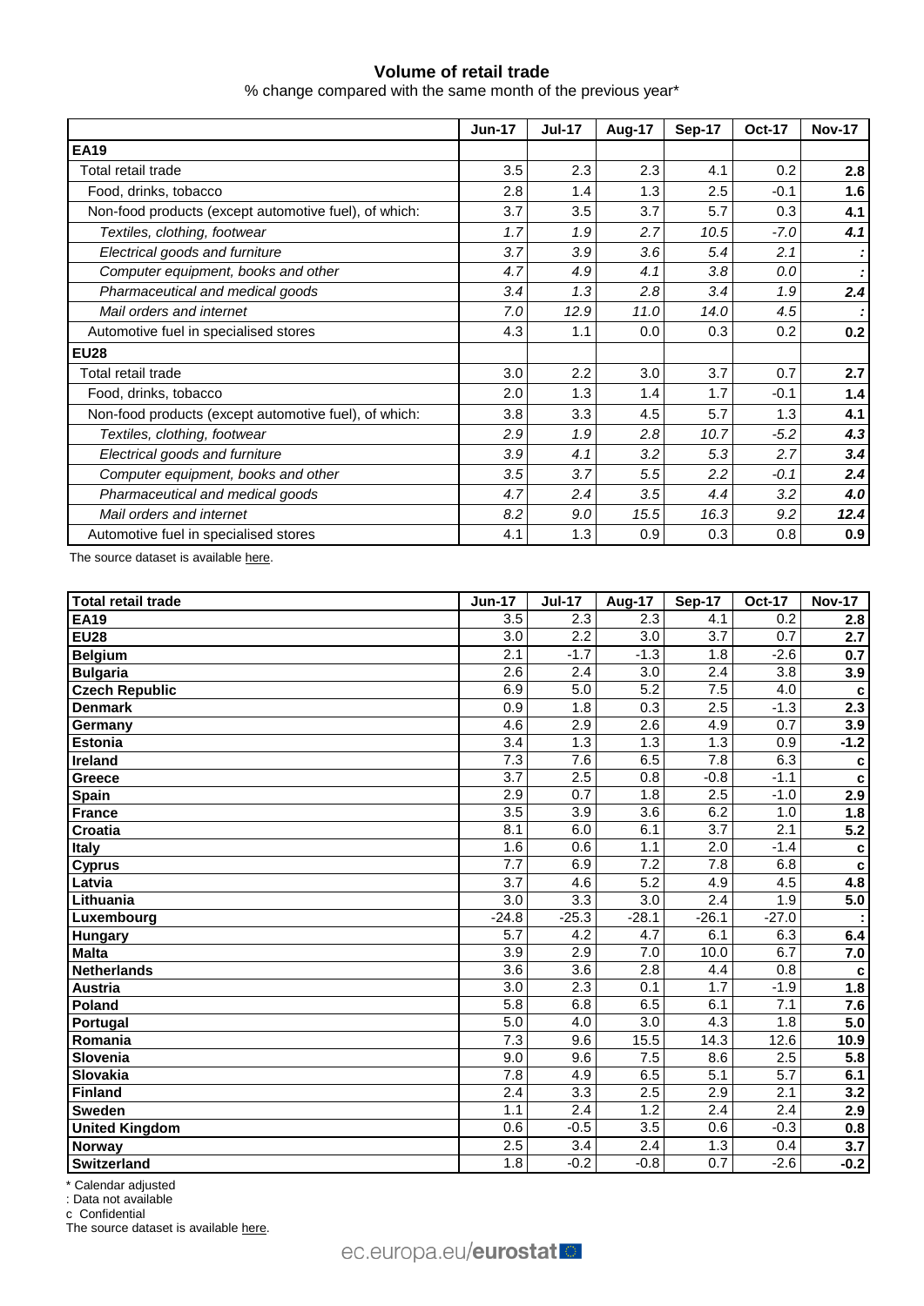## **Volume of retail trade**

% change compared with the same month of the previous year\*

|                                                       | <b>Jun-17</b> | <b>Jul-17</b> | Aug-17 | <b>Sep-17</b> | <b>Oct-17</b> | <b>Nov-17</b> |
|-------------------------------------------------------|---------------|---------------|--------|---------------|---------------|---------------|
| <b>EA19</b>                                           |               |               |        |               |               |               |
| Total retail trade                                    | 3.5           | 2.3           | 2.3    | 4.1           | 0.2           | 2.8           |
| Food, drinks, tobacco                                 | 2.8           | 1.4           | 1.3    | 2.5           | $-0.1$        | 1.6           |
| Non-food products (except automotive fuel), of which: | 3.7           | 3.5           | 3.7    | 5.7           | 0.3           | 4.1           |
| Textiles, clothing, footwear                          | 1.7           | 1.9           | 2.7    | 10.5          | $-7.0$        | 4.1           |
| Electrical goods and furniture                        | 3.7           | 3.9           | 3.6    | 5.4           | 2.1           |               |
| Computer equipment, books and other                   | 4.7           | 4.9           | 4.1    | 3.8           | 0.0           |               |
| Pharmaceutical and medical goods                      | 3.4           | 1.3           | 2.8    | 3.4           | 1.9           | 2.4           |
| Mail orders and internet                              | 7.0           | 12.9          | 11.0   | 14.0          | 4.5           |               |
| Automotive fuel in specialised stores                 | 4.3           | 1.1           | 0.0    | 0.3           | 0.2           | 0.2           |
| <b>EU28</b>                                           |               |               |        |               |               |               |
| Total retail trade                                    | 3.0           | 2.2           | 3.0    | 3.7           | 0.7           | 2.7           |
| Food, drinks, tobacco                                 | 2.0           | 1.3           | 1.4    | 1.7           | $-0.1$        | 1.4           |
| Non-food products (except automotive fuel), of which: | 3.8           | 3.3           | 4.5    | 5.7           | 1.3           | 4.1           |
| Textiles, clothing, footwear                          | 2.9           | 1.9           | 2.8    | 10.7          | $-5.2$        | 4.3           |
| Electrical goods and furniture                        | 3.9           | 4.1           | 3.2    | 5.3           | 2.7           | 3.4           |
| Computer equipment, books and other                   | 3.5           | 3.7           | 5.5    | 2.2           | -0.1          | 2.4           |
| Pharmaceutical and medical goods                      | 4.7           | 2.4           | 3.5    | 4.4           | 3.2           | 4.0           |
| Mail orders and internet                              | 8.2           | 9.0           | 15.5   | 16.3          | 9.2           | 12.4          |
| Automotive fuel in specialised stores                 | 4.1           | 1.3           | 0.9    | 0.3           | 0.8           | 0.9           |

The source dataset is available [here.](http://appsso.eurostat.ec.europa.eu/nui/show.do?query=BOOKMARK_DS-075757_QID_1411862_UID_-3F171EB0&layout=TIME,C,X,0;GEO,L,Y,0;NACE_R2,L,Y,1;INDIC_BT,L,Z,0;S_ADJ,L,Z,1;UNIT,L,Z,2;INDICATORS,C,Z,3;&zSelection=DS-075757INDIC_BT,TOVV;DS-075757UNIT,PCH_SM;DS-075757INDICATORS,OBS_FLAG;DS-075757S_ADJ,CA;&rankName1=UNIT_1_2_-1_2&rankName2=INDIC-BT_1_2_-1_2&rankName3=INDICATORS_1_2_-1_2&rankName4=S-ADJ_1_2_-1_2&rankName5=TIME_1_0_0_0&rankName6=GEO_1_0_0_1&rankName7=NACE-R2_1_0_1_1&sortR=ASC_-1_FIRST&sortC=ASC_-1_FIRST&rStp=&cStp=&rDCh=&cDCh=&rDM=true&cDM=true&footnes=false&empty=false&wai=false&time_mode=ROLLING&time_most_recent=true&lang=EN&cfo=%23%23%23%2C%23%23%23.%23%23%23)

| Total retail trade    | <b>Jun-17</b>    | <b>Jul-17</b>    | Aug-17           | <b>Sep-17</b>    | <b>Oct-17</b>    | <b>Nov-17</b>     |
|-----------------------|------------------|------------------|------------------|------------------|------------------|-------------------|
| <b>EA19</b>           | 3.5              | 2.3              | 2.3              | 4.1              | 0.2              | 2.8               |
| <b>EU28</b>           | 3.0              | 2.2              | 3.0              | 3.7              | 0.7              | 2.7               |
| <b>Belgium</b>        | 2.1              | $-1.7$           | $-1.3$           | 1.8              | $-2.6$           | 0.7               |
| <b>Bulgaria</b>       | 2.6              | 2.4              | $\overline{3.0}$ | 2.4              | $\overline{3.8}$ | 3.9               |
| <b>Czech Republic</b> | 6.9              | 5.0              | 5.2              | 7.5              | 4.0              | $\mathbf{c}$      |
| <b>Denmark</b>        | 0.9              | 1.8              | 0.3              | 2.5              | $-1.3$           | 2.3               |
| Germany               | 4.6              | 2.9              | 2.6              | 4.9              | 0.7              | 3.9               |
| <b>Estonia</b>        | $\overline{3.4}$ | 1.3              | 1.3              | 1.3              | 0.9              | $-1.2$            |
| Ireland               | $\overline{7.3}$ | 7.6              | 6.5              | 7.8              | 6.3              | $\mathbf c$       |
| Greece                | $\overline{3.7}$ | 2.5              | 0.8              | $-0.8$           | $-1.1$           | C                 |
| <b>Spain</b>          | 2.9              | $\overline{0.7}$ | 1.8              | 2.5              | $-1.0$           | 2.9               |
| France                | 3.5              | 3.9              | 3.6              | 6.2              | 1.0              | 1.8               |
| Croatia               | 8.1              | 6.0              | 6.1              | $\overline{3.7}$ | 2.1              | $\overline{5.2}$  |
| Italy                 | 1.6              | 0.6              | 1.1              | 2.0              | $-1.4$           | $\mathbf c$       |
| <b>Cyprus</b>         | 7.7              | 6.9              | $\overline{7.2}$ | $\overline{7.8}$ | 6.8              | C                 |
| Latvia                | $\overline{3.7}$ | 4.6              | 5.2              | 4.9              | 4.5              | 4.8               |
| Lithuania             | $\overline{3.0}$ | $\overline{3.3}$ | $\overline{3.0}$ | 2.4              | 1.9              | 5.0               |
| Luxembourg            | $-24.8$          | $-25.3$          | $-28.1$          | $-26.1$          | $-27.0$          |                   |
| <b>Hungary</b>        | 5.7              | 4.2              | 4.7              | 6.1              | 6.3              | 6.4               |
| <b>Malta</b>          | $\overline{3.9}$ | 2.9              | 7.0              | 10.0             | 6.7              | 7.0               |
| <b>Netherlands</b>    | 3.6              | $\overline{3.6}$ | 2.8              | 4.4              | 0.8              | C                 |
| <b>Austria</b>        | 3.0              | 2.3              | 0.1              | 1.7              | $-1.9$           | 1.8               |
| Poland                | $\overline{5.8}$ | 6.8              | 6.5              | 6.1              | $\overline{7.1}$ | 7.6               |
| Portugal              | 5.0              | 4.0              | 3.0              | 4.3              | 1.8              | 5.0               |
| Romania               | $\overline{7.3}$ | 9.6              | 15.5             | 14.3             | 12.6             | 10.9              |
| Slovenia              | 9.0              | 9.6              | 7.5              | 8.6              | 2.5              | 5.8               |
| Slovakia              | $\overline{7.8}$ | 4.9              | 6.5              | $\overline{5.1}$ | $\overline{5.7}$ | 6.1               |
| Finland               | $\overline{2.4}$ | $\overline{3.3}$ | 2.5              | 2.9              | 2.1              | 3.2               |
| <b>Sweden</b>         | 1.1              | 2.4              | 1.2              | 2.4              | $\overline{2.4}$ | $\overline{2.9}$  |
| <b>United Kingdom</b> | 0.6              | $-0.5$           | $\overline{3.5}$ | 0.6              | $-0.3$           | 0.8               |
| Norway                | 2.5              | 3.4              | 2.4              | 1.3              | 0.4              | 3.7               |
| Switzerland           | 1.8              | $-0.2$           | $-0.8$           | 0.7              | $-2.6$           | $\overline{-0.2}$ |

\* Calendar adjusted

: Data not available

c Confidential

The source dataset is availabl[e here.](http://appsso.eurostat.ec.europa.eu/nui/show.do?query=BOOKMARK_DS-075757_QID_4868268A_UID_-3F171EB0&layout=TIME,C,X,0;GEO,L,Y,0;INDIC_BT,L,Z,0;NACE_R2,L,Z,1;S_ADJ,L,Z,2;UNIT,L,Z,3;INDICATORS,C,Z,4;&zSelection=DS-075757INDIC_BT,TOVV;DS-075757NACE_R2,G47;DS-075757UNIT,PCH_SM;DS-075757INDICATORS,OBS_FLAG;DS-075757S_ADJ,CA;&rankName1=UNIT_1_2_-1_2&rankName2=INDIC-BT_1_2_-1_2&rankName3=INDICATORS_1_2_-1_2&rankName4=S-ADJ_1_2_-1_2&rankName5=NACE-R2_1_2_-1_2&rankName6=TIME_1_0_0_0&rankName7=GEO_1_2_0_1&sortC=ASC_-1_FIRST&rStp=&cStp=&rDCh=&cDCh=&rDM=true&cDM=true&footnes=false&empty=false&wai=false&time_mode=ROLLING&time_most_recent=true&lang=EN&cfo=%23%23%23%2C%23%23%23.%23%23%23)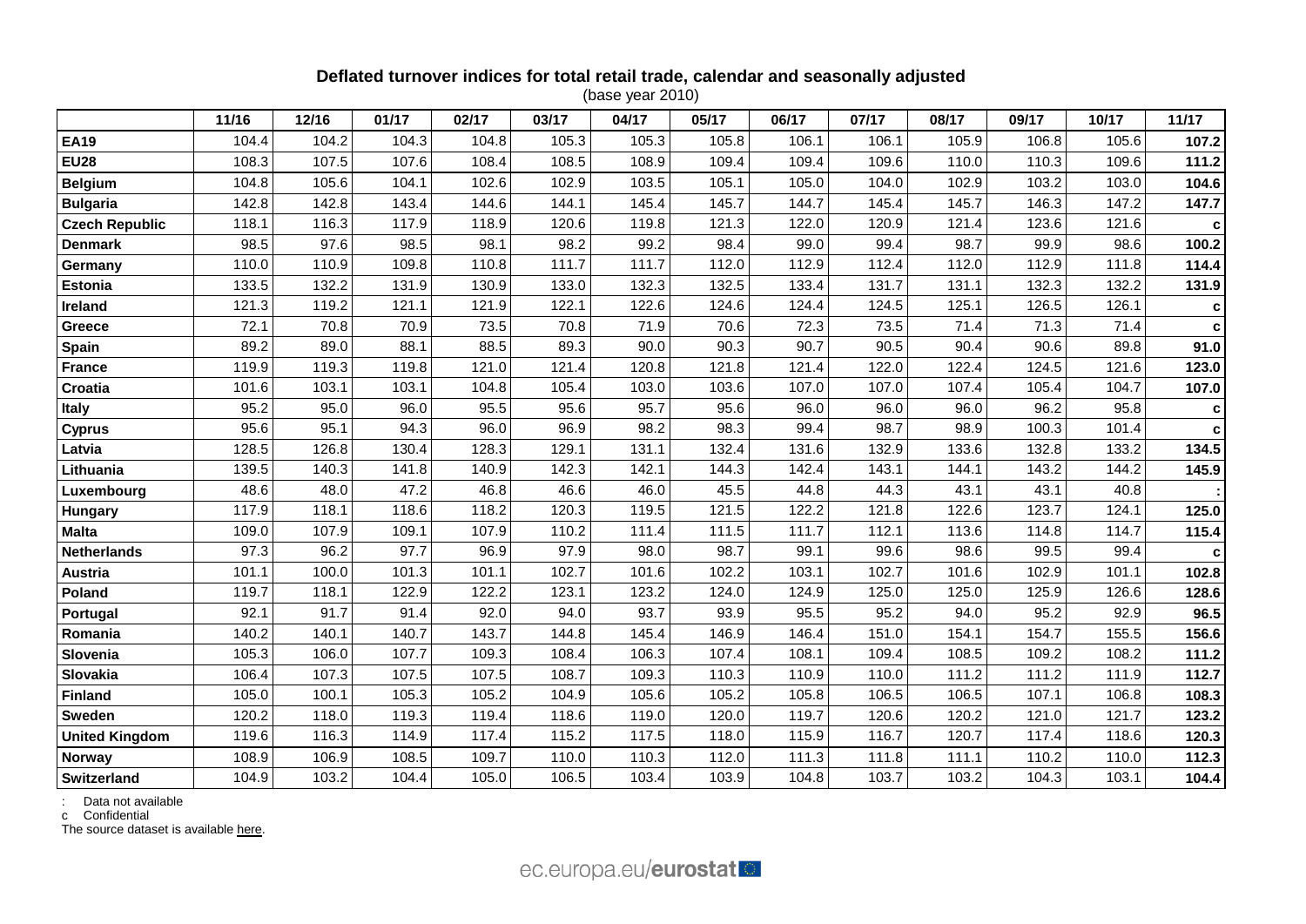## **Deflated turnover indices for total retail trade, calendar and seasonally adjusted**

(base year 2010)

|                       | 11/16 | 12/16 | 01/17 | 02/17 | 03/17 | 04/17 | 05/17 | 06/17 | 07/17 | 08/17 | 09/17 | 10/17 | 11/17 |
|-----------------------|-------|-------|-------|-------|-------|-------|-------|-------|-------|-------|-------|-------|-------|
| <b>EA19</b>           | 104.4 | 104.2 | 104.3 | 104.8 | 105.3 | 105.3 | 105.8 | 106.1 | 106.1 | 105.9 | 106.8 | 105.6 | 107.2 |
| <b>EU28</b>           | 108.3 | 107.5 | 107.6 | 108.4 | 108.5 | 108.9 | 109.4 | 109.4 | 109.6 | 110.0 | 110.3 | 109.6 | 111.2 |
| <b>Belgium</b>        | 104.8 | 105.6 | 104.1 | 102.6 | 102.9 | 103.5 | 105.1 | 105.0 | 104.0 | 102.9 | 103.2 | 103.0 | 104.6 |
| <b>Bulgaria</b>       | 142.8 | 142.8 | 143.4 | 144.6 | 144.1 | 145.4 | 145.7 | 144.7 | 145.4 | 145.7 | 146.3 | 147.2 | 147.7 |
| <b>Czech Republic</b> | 118.1 | 116.3 | 117.9 | 118.9 | 120.6 | 119.8 | 121.3 | 122.0 | 120.9 | 121.4 | 123.6 | 121.6 | c     |
| <b>Denmark</b>        | 98.5  | 97.6  | 98.5  | 98.1  | 98.2  | 99.2  | 98.4  | 99.0  | 99.4  | 98.7  | 99.9  | 98.6  | 100.2 |
| Germany               | 110.0 | 110.9 | 109.8 | 110.8 | 111.7 | 111.7 | 112.0 | 112.9 | 112.4 | 112.0 | 112.9 | 111.8 | 114.4 |
| <b>Estonia</b>        | 133.5 | 132.2 | 131.9 | 130.9 | 133.0 | 132.3 | 132.5 | 133.4 | 131.7 | 131.1 | 132.3 | 132.2 | 131.9 |
| Ireland               | 121.3 | 119.2 | 121.1 | 121.9 | 122.1 | 122.6 | 124.6 | 124.4 | 124.5 | 125.1 | 126.5 | 126.1 |       |
| Greece                | 72.1  | 70.8  | 70.9  | 73.5  | 70.8  | 71.9  | 70.6  | 72.3  | 73.5  | 71.4  | 71.3  | 71.4  | C     |
| <b>Spain</b>          | 89.2  | 89.0  | 88.1  | 88.5  | 89.3  | 90.0  | 90.3  | 90.7  | 90.5  | 90.4  | 90.6  | 89.8  | 91.0  |
| <b>France</b>         | 119.9 | 119.3 | 119.8 | 121.0 | 121.4 | 120.8 | 121.8 | 121.4 | 122.0 | 122.4 | 124.5 | 121.6 | 123.0 |
| Croatia               | 101.6 | 103.1 | 103.1 | 104.8 | 105.4 | 103.0 | 103.6 | 107.0 | 107.0 | 107.4 | 105.4 | 104.7 | 107.0 |
| <b>Italy</b>          | 95.2  | 95.0  | 96.0  | 95.5  | 95.6  | 95.7  | 95.6  | 96.0  | 96.0  | 96.0  | 96.2  | 95.8  | c     |
| <b>Cyprus</b>         | 95.6  | 95.1  | 94.3  | 96.0  | 96.9  | 98.2  | 98.3  | 99.4  | 98.7  | 98.9  | 100.3 | 101.4 | C     |
| Latvia                | 128.5 | 126.8 | 130.4 | 128.3 | 129.1 | 131.1 | 132.4 | 131.6 | 132.9 | 133.6 | 132.8 | 133.2 | 134.5 |
| Lithuania             | 139.5 | 140.3 | 141.8 | 140.9 | 142.3 | 142.1 | 144.3 | 142.4 | 143.1 | 144.1 | 143.2 | 144.2 | 145.9 |
| Luxembourg            | 48.6  | 48.0  | 47.2  | 46.8  | 46.6  | 46.0  | 45.5  | 44.8  | 44.3  | 43.1  | 43.1  | 40.8  |       |
| Hungary               | 117.9 | 118.1 | 118.6 | 118.2 | 120.3 | 119.5 | 121.5 | 122.2 | 121.8 | 122.6 | 123.7 | 124.1 | 125.0 |
| <b>Malta</b>          | 109.0 | 107.9 | 109.1 | 107.9 | 110.2 | 111.4 | 111.5 | 111.7 | 112.1 | 113.6 | 114.8 | 114.7 | 115.4 |
| <b>Netherlands</b>    | 97.3  | 96.2  | 97.7  | 96.9  | 97.9  | 98.0  | 98.7  | 99.1  | 99.6  | 98.6  | 99.5  | 99.4  |       |
| Austria               | 101.1 | 100.0 | 101.3 | 101.1 | 102.7 | 101.6 | 102.2 | 103.1 | 102.7 | 101.6 | 102.9 | 101.1 | 102.8 |
| Poland                | 119.7 | 118.1 | 122.9 | 122.2 | 123.1 | 123.2 | 124.0 | 124.9 | 125.0 | 125.0 | 125.9 | 126.6 | 128.6 |
| Portugal              | 92.1  | 91.7  | 91.4  | 92.0  | 94.0  | 93.7  | 93.9  | 95.5  | 95.2  | 94.0  | 95.2  | 92.9  | 96.5  |
| Romania               | 140.2 | 140.1 | 140.7 | 143.7 | 144.8 | 145.4 | 146.9 | 146.4 | 151.0 | 154.1 | 154.7 | 155.5 | 156.6 |
| Slovenia              | 105.3 | 106.0 | 107.7 | 109.3 | 108.4 | 106.3 | 107.4 | 108.1 | 109.4 | 108.5 | 109.2 | 108.2 | 111.2 |
| Slovakia              | 106.4 | 107.3 | 107.5 | 107.5 | 108.7 | 109.3 | 110.3 | 110.9 | 110.0 | 111.2 | 111.2 | 111.9 | 112.7 |
| <b>Finland</b>        | 105.0 | 100.1 | 105.3 | 105.2 | 104.9 | 105.6 | 105.2 | 105.8 | 106.5 | 106.5 | 107.1 | 106.8 | 108.3 |
| Sweden                | 120.2 | 118.0 | 119.3 | 119.4 | 118.6 | 119.0 | 120.0 | 119.7 | 120.6 | 120.2 | 121.0 | 121.7 | 123.2 |
| <b>United Kingdom</b> | 119.6 | 116.3 | 114.9 | 117.4 | 115.2 | 117.5 | 118.0 | 115.9 | 116.7 | 120.7 | 117.4 | 118.6 | 120.3 |
| Norway                | 108.9 | 106.9 | 108.5 | 109.7 | 110.0 | 110.3 | 112.0 | 111.3 | 111.8 | 111.1 | 110.2 | 110.0 | 112.3 |
| Switzerland           | 104.9 | 103.2 | 104.4 | 105.0 | 106.5 | 103.4 | 103.9 | 104.8 | 103.7 | 103.2 | 104.3 | 103.1 | 104.4 |

: Data not available

c Confidential

The source dataset is available [here.](http://appsso.eurostat.ec.europa.eu/nui/show.do?query=BOOKMARK_DS-075757_QID_7EF248B9_UID_-3F171EB0&layout=TIME,C,X,0;GEO,L,Y,0;INDIC_BT,L,Z,0;NACE_R2,L,Z,1;S_ADJ,L,Z,2;UNIT,L,Z,3;INDICATORS,C,Z,4;&zSelection=DS-075757INDIC_BT,TOVV;DS-075757NACE_R2,G47;DS-075757UNIT,I10;DS-075757INDICATORS,OBS_FLAG;DS-075757S_ADJ,SCA;&rankName1=UNIT_1_2_-1_2&rankName2=INDIC-BT_1_2_-1_2&rankName3=INDICATORS_1_2_-1_2&rankName4=S-ADJ_1_2_-1_2&rankName5=NACE-R2_1_2_-1_2&rankName6=TIME_1_0_0_0&rankName7=GEO_1_2_0_1&sortC=ASC_-1_FIRST&rStp=&cStp=&rDCh=&cDCh=&rDM=true&cDM=true&footnes=false&empty=false&wai=false&time_mode=ROLLING&time_most_recent=true&lang=EN&cfo=%23%23%23%2C%23%23%23.%23%23%23)